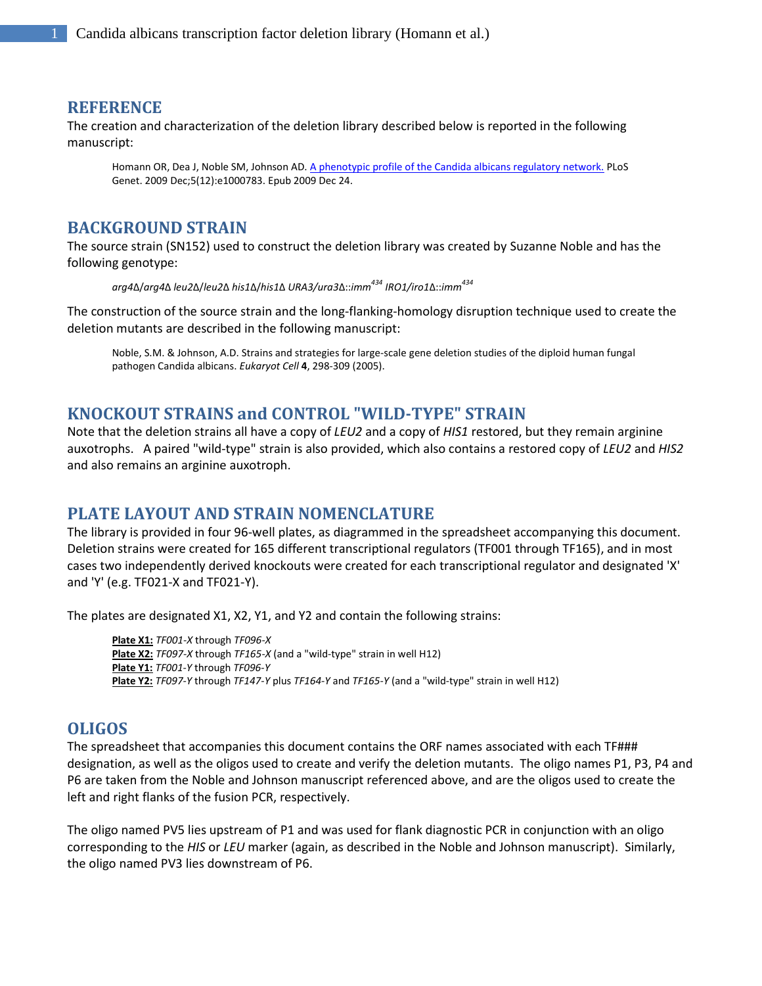#### **REFERENCE**

The creation and characterization of the deletion library described below is reported in the following manuscript:

Homann OR, Dea J, Noble SM, Johnson AD. [A phenotypic profile of the Candida albicans regulatory network.](http://www.ncbi.nlm.nih.gov/pubmed/20041210?itool=EntrezSystem2.PEntrez.Pubmed.Pubmed_ResultsPanel.Pubmed_RVDocSum&ordinalpos=2) PLoS Genet. 2009 Dec;5(12):e1000783. Epub 2009 Dec 24.

### **BACKGROUND STRAIN**

The source strain (SN152) used to construct the deletion library was created by Suzanne Noble and has the following genotype:

*arg4*∆/*arg4*∆ *leu2*∆/*leu2*∆ *his1*∆/*his1*∆ *URA3/ura3*∆::*imm<sup>434</sup> IRO1/iro1*∆::*imm<sup>434</sup>*

The construction of the source strain and the long-flanking-homology disruption technique used to create the deletion mutants are described in the following manuscript:

Noble, S.M. & Johnson, A.D. Strains and strategies for large-scale gene deletion studies of the diploid human fungal pathogen Candida albicans. *Eukaryot Cell* **4**, 298-309 (2005).

## **KNOCKOUT STRAINS and CONTROL "WILD-TYPE" STRAIN**

Note that the deletion strains all have a copy of *LEU2* and a copy of *HIS1* restored, but they remain arginine auxotrophs. A paired "wild-type" strain is also provided, which also contains a restored copy of *LEU2* and *HIS2* and also remains an arginine auxotroph.

## **PLATE LAYOUT AND STRAIN NOMENCLATURE**

The library is provided in four 96-well plates, as diagrammed in the spreadsheet accompanying this document. Deletion strains were created for 165 different transcriptional regulators (TF001 through TF165), and in most cases two independently derived knockouts were created for each transcriptional regulator and designated 'X' and 'Y' (e.g. TF021-X and TF021-Y).

The plates are designated X1, X2, Y1, and Y2 and contain the following strains:

**Plate X1:** *TF001-X* through *TF096-X* **Plate X2:** *TF097-X* through *TF165-X* (and a "wild-type" strain in well H12) **Plate Y1:** *TF001-Y* through *TF096-Y* **Plate Y2:** *TF097-Y* through *TF147-Y* plus *TF164-Y* and *TF165-Y* (and a "wild-type" strain in well H12)

#### **OLIGOS**

The spreadsheet that accompanies this document contains the ORF names associated with each TF### designation, as well as the oligos used to create and verify the deletion mutants. The oligo names P1, P3, P4 and P6 are taken from the Noble and Johnson manuscript referenced above, and are the oligos used to create the left and right flanks of the fusion PCR, respectively.

The oligo named PV5 lies upstream of P1 and was used for flank diagnostic PCR in conjunction with an oligo corresponding to the *HIS* or *LEU* marker (again, as described in the Noble and Johnson manuscript). Similarly, the oligo named PV3 lies downstream of P6.